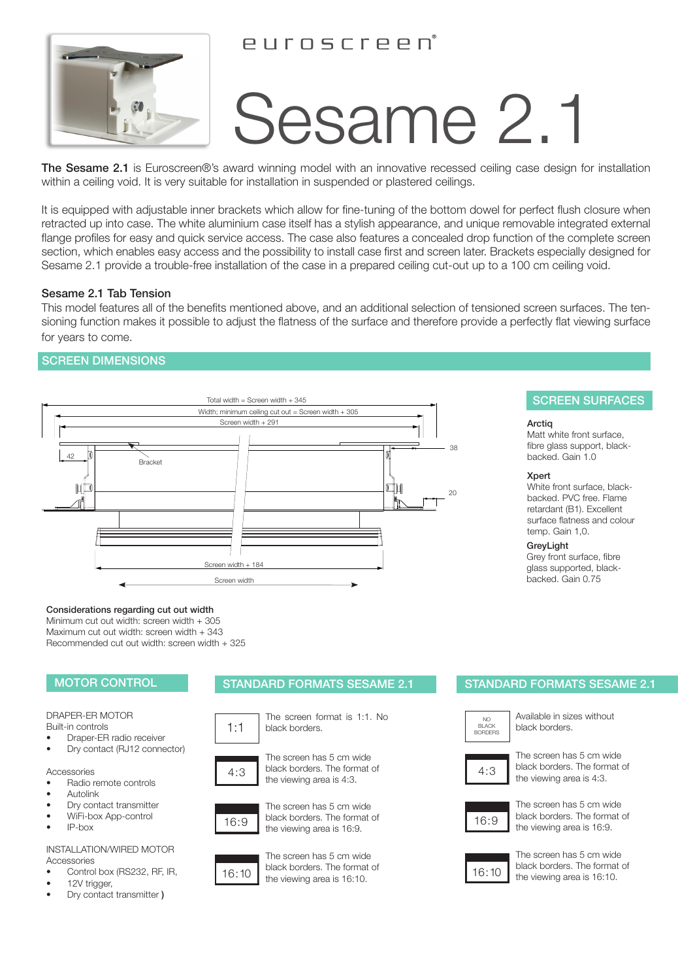# euroscreen



# Sesame 2.1

The Sesame 2.1 is Euroscreen®'s award winning model with an innovative recessed ceiling case design for installation within a ceiling void. It is very suitable for installation in suspended or plastered ceilings.

It is equipped with adjustable inner brackets which allow for fine-tuning of the bottom dowel for perfect flush closure when retracted up into case. The white aluminium case itself has a stylish appearance, and unique removable integrated external flange profiles for easy and quick service access. The case also features a concealed drop function of the complete screen section, which enables easy access and the possibility to install case first and screen later. Brackets especially designed for Sesame 2.1 provide a trouble-free installation of the case in a prepared ceiling cut-out up to a 100 cm ceiling void.

# Sesame 2.1 Tab Tension

This model features all of the benefits mentioned above, and an additional selection of tensioned screen surfaces. The tensioning function makes it possible to adjust the flatness of the surface and therefore provide a perfectly flat viewing surface for years to come.

# SCREEN DIMENSIONS



# SCREEN SURFACES

## Arctiq

Matt white front surface, fibre glass support, blackbacked. Gain 1.0

## Xpert

White front surface, blackbacked. PVC free. Flame retardant (B1). Excellent surface flatness and colour temp. Gain 1,0.

GreyLight Grey front surface, fibre glass supported, blackbacked. Gain 0.75

## Considerations regarding cut out width

Minimum cut out width: screen width + 305 Maximum cut out width: screen width + 343 Recommended cut out width: screen width + 325

# DRAPER-ER MOTOR

Built-in controls

• Draper-ER radio receiver • Dry contact (RJ12 connector)

### Accessories

- Radio remote controls
- **Autolink**
- Dry contact transmitter
- WiFi-box App-control
- IP-box

#### INSTALLATION/WIRED MOTOR Accessories

- Control box (RS232, RF, IR,
- 12V trigger,
- Dry contact transmitter )

# MOTOR CONTROL STANDARD FORMATS SESAME 2.1 STANDARD FORMATS SESAME 2.1







The screen has 5 cm wide black borders.







the viewing area is 4:3.



16:9 black borders. The format of 16:9 the viewing area is 16:9.



16:10 the viewing area is 16:10. The screen has 5 cm wide black borders. The format of

NO BLACK BORDERS

Available in sizes without black borders.



The screen has 5 cm wide black borders. The format of the viewing area is 4:3.



The screen has 5 cm wide black borders. The format of the viewing area is 16:9.



The screen has 5 cm wide black borders. The format of the viewing area is 16:10.